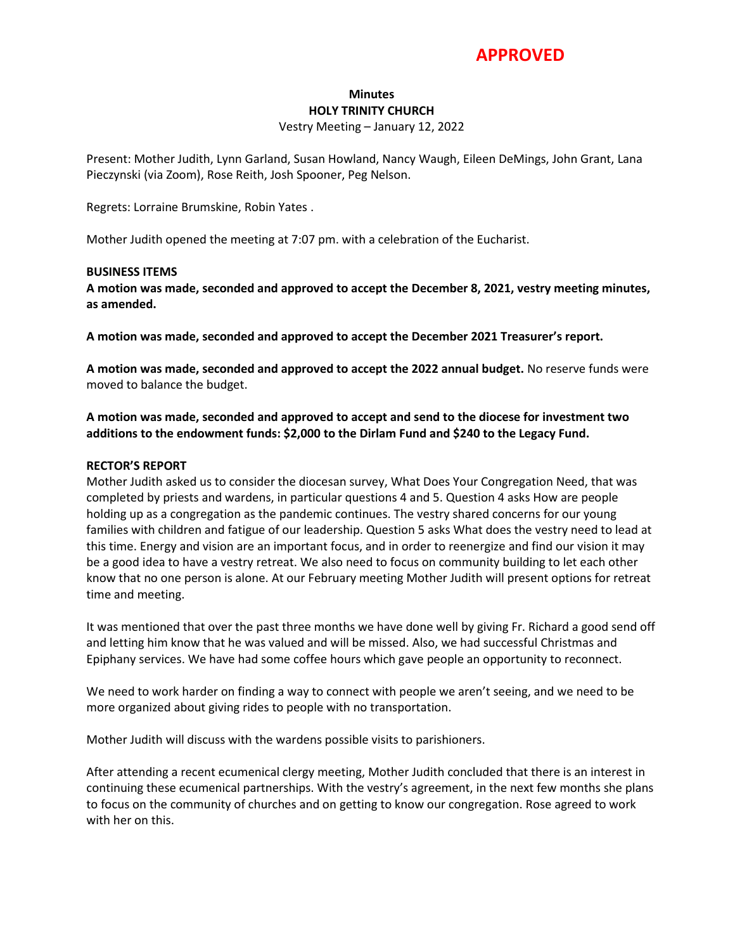# **APPROVED**

## **Minutes HOLY TRINITY CHURCH**

Vestry Meeting – January 12, 2022

Present: Mother Judith, Lynn Garland, Susan Howland, Nancy Waugh, Eileen DeMings, John Grant, Lana Pieczynski (via Zoom), Rose Reith, Josh Spooner, Peg Nelson.

Regrets: Lorraine Brumskine, Robin Yates .

Mother Judith opened the meeting at 7:07 pm. with a celebration of the Eucharist.

#### **BUSINESS ITEMS**

**A motion was made, seconded and approved to accept the December 8, 2021, vestry meeting minutes, as amended.**

**A motion was made, seconded and approved to accept the December 2021 Treasurer's report.**

**A motion was made, seconded and approved to accept the 2022 annual budget.** No reserve funds were moved to balance the budget.

**A motion was made, seconded and approved to accept and send to the diocese for investment two additions to the endowment funds: \$2,000 to the Dirlam Fund and \$240 to the Legacy Fund.**

#### **RECTOR'S REPORT**

Mother Judith asked us to consider the diocesan survey, What Does Your Congregation Need, that was completed by priests and wardens, in particular questions 4 and 5. Question 4 asks How are people holding up as a congregation as the pandemic continues. The vestry shared concerns for our young families with children and fatigue of our leadership. Question 5 asks What does the vestry need to lead at this time. Energy and vision are an important focus, and in order to reenergize and find our vision it may be a good idea to have a vestry retreat. We also need to focus on community building to let each other know that no one person is alone. At our February meeting Mother Judith will present options for retreat time and meeting.

It was mentioned that over the past three months we have done well by giving Fr. Richard a good send off and letting him know that he was valued and will be missed. Also, we had successful Christmas and Epiphany services. We have had some coffee hours which gave people an opportunity to reconnect.

We need to work harder on finding a way to connect with people we aren't seeing, and we need to be more organized about giving rides to people with no transportation.

Mother Judith will discuss with the wardens possible visits to parishioners.

After attending a recent ecumenical clergy meeting, Mother Judith concluded that there is an interest in continuing these ecumenical partnerships. With the vestry's agreement, in the next few months she plans to focus on the community of churches and on getting to know our congregation. Rose agreed to work with her on this.